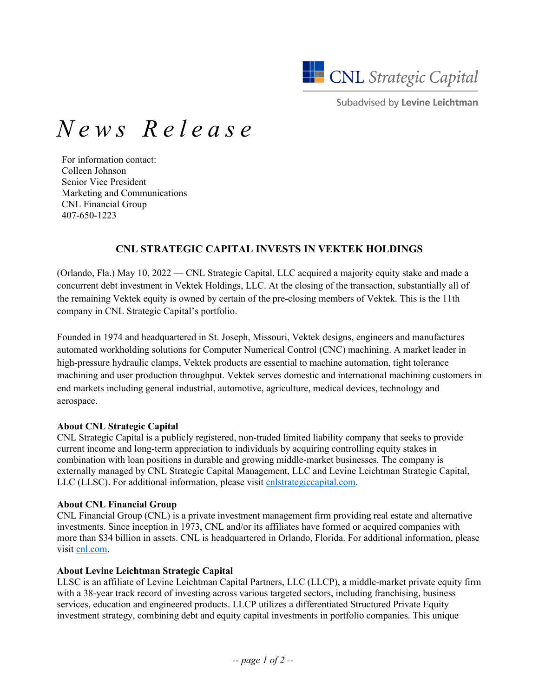

Subadvised by Levine Leichtman

# *News Release*

For information contact: Colleen Johnson Senior Vice President Marketing and Communications CNL Financial Group 407-650-1223

## **CNL STRATEGIC CAPITAL INVESTS IN VEKTEK HOLDINGS**

(Orlando, Fla.) May 10, 2022 — CNL Strategic Capital, LLC acquired a majority equity stake and made a concurrent debt investment in Vektek Holdings, LLC. At the closing of the transaction, substantially all of the remaining Vektek equity is owned by certain of the pre-closing members of Vektek. This is the 11th company in CNL Strategic Capital's portfolio.

Founded in 1974 and headquartered in St. Joseph, Missouri, Vektek designs, engineers and manufactures automated workholding solutions for Computer Numerical Control (CNC) machining. A market leader in high-pressure hydraulic clamps, Vektek products are essential to machine automation, tight tolerance machining and user production throughput. Vektek serves domestic and international machining customers in end markets including general industrial, automotive, agriculture, medical devices, technology and aerospace.

#### **About CNL Strategic Capital**

CNL Strategic Capital is a publicly registered, non-traded limited liability company that seeks to provide current income and long-term appreciation to individuals by acquiring controlling equity stakes in combination with loan positions in durable and growing middle-market businesses. The company is externally managed by CNL Strategic Capital Management, LLC and Levine Leichtman Strategic Capital, LLC (LLSC). For additional information, please visit [cnlstrategiccapital.com.](http://www.cnlstrategiccapital.com/)

## **About CNL Financial Group**

CNL Financial Group (CNL) is a private investment management firm providing real estate and alternative investments. Since inception in 1973, CNL and/or its affiliates have formed or acquired companies with more than \$34 billion in assets. CNL is headquartered in Orlando, Florida. For additional information, please visit [cnl.com.](http://www.cnl.com/)

## **About Levine Leichtman Strategic Capital**

LLSC is an affiliate of Levine Leichtman Capital Partners, LLC (LLCP), a middle-market private equity firm with a 38-year track record of investing across various targeted sectors, including franchising, business services, education and engineered products. LLCP utilizes a differentiated Structured Private Equity investment strategy, combining debt and equity capital investments in portfolio companies. This unique